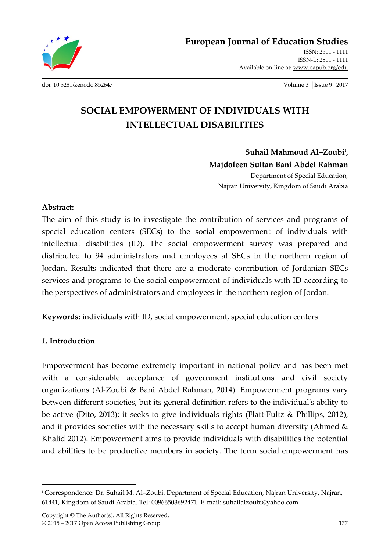

**European Journal of Education Studies**

ISSN: 2501 - 1111 ISSN-L: 2501 - 1111 Available on-line at**:** www.oapub.org/edu

[doi: 10.5281/zenodo.852647](http://dx.doi.org/10.5281/zenodo.852647) Volume 3 │Issue 9│2017

# **SOCIAL EMPOWERMENT OF INDIVIDUALS WITH INTELLECTUAL DISABILITIES**

**Suhail Mahmoud Al–Zoubi<sup>i</sup> , Majdoleen Sultan Bani Abdel Rahman** Department of Special Education, Najran University, Kingdom of Saudi Arabia

#### **Abstract:**

The aim of this study is to investigate the contribution of services and programs of special education centers (SECs) to the social empowerment of individuals with intellectual disabilities (ID). The social empowerment survey was prepared and distributed to 94 administrators and employees at SECs in the northern region of Jordan. Results indicated that there are a moderate contribution of Jordanian SECs services and programs to the social empowerment of individuals with ID according to the perspectives of administrators and employees in the northern region of Jordan.

**Keywords:** individuals with ID, social empowerment, special education centers

#### **1. Introduction**

 $\overline{\phantom{a}}$ 

Empowerment has become extremely important in national policy and has been met with a considerable acceptance of government institutions and civil society organizations (Al-Zoubi & Bani Abdel Rahman, 2014). Empowerment programs vary between different societies, but its general definition refers to the individual's ability to be active (Dito, 2013); it seeks to give individuals rights (Flatt-Fultz & Phillips, 2012), and it provides societies with the necessary skills to accept human diversity (Ahmed  $\&$ Khalid 2012). Empowerment aims to provide individuals with disabilities the potential and abilities to be productive members in society. The term social empowerment has

<sup>i</sup> Correspondence: Dr. Suhail M. Al–Zoubi, Department of Special Education, Najran University, Najran, 61441, Kingdom of Saudi Arabia. Tel: 00966503692471. E-mail[: suhailalzoubi@yahoo.com](mailto:suhailalzoubi@yahoo.com)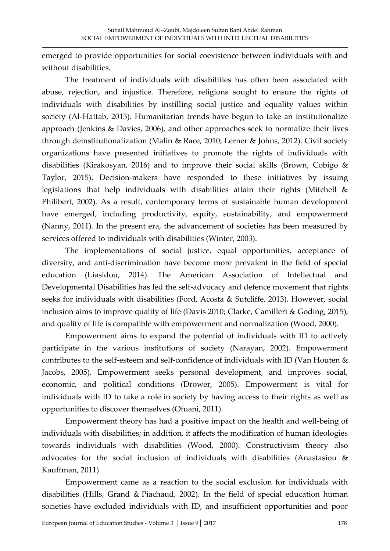emerged to provide opportunities for social coexistence between individuals with and without disabilities.

The treatment of individuals with disabilities has often been associated with abuse, rejection, and injustice. Therefore, religions sought to ensure the rights of individuals with disabilities by instilling social justice and equality values within society (Al-Hattab, 2015). Humanitarian trends have begun to take an institutionalize approach (Jenkins & Davies, 2006), and other approaches seek to normalize their lives through deinstitutionalization (Malin & Race, 2010; Lerner & Johns, 2012). Civil society organizations have presented initiatives to promote the rights of individuals with disabilities (Kirakosyan, 2016) and to improve their social skills (Brown, Cobigo & Taylor, 2015). Decision-makers have responded to these initiatives by issuing legislations that help individuals with disabilities attain their rights (Mitchell & Philibert, 2002). As a result, contemporary terms of sustainable human development have emerged, including productivity, equity, sustainability, and empowerment (Nanny, 2011). In the present era, the advancement of societies has been measured by services offered to individuals with disabilities (Winter, 2003).

The implementations of social justice, equal opportunities, acceptance of diversity, and anti-discrimination have become more prevalent in the field of special education (Liasidou, 2014). The American Association of Intellectual and Developmental Disabilities has led the self-advocacy and defence movement that rights seeks for individuals with disabilities (Ford, Acosta & Sutcliffe, 2013). However, social inclusion aims to improve quality of life (Davis 2010; Clarke, Camilleri & Goding, 2015), and quality of life is compatible with empowerment and normalization (Wood, 2000).

Empowerment aims to expand the potential of individuals with ID to actively participate in the various institutions of society (Narayan, 2002). Empowerment contributes to the self-esteem and self-confidence of individuals with ID (Van Houten & Jacobs, 2005). Empowerment seeks personal development, and improves social, economic, and political conditions (Drower, 2005). Empowerment is vital for individuals with ID to take a role in society by having access to their rights as well as opportunities to discover themselves (Ofuani, 2011).

Empowerment theory has had a positive impact on the health and well-being of individuals with disabilities; in addition, it affects the modification of human ideologies towards individuals with disabilities (Wood, 2000). Constructivism theory also advocates for the social inclusion of individuals with disabilities (Anastasiou & Kauffman, 2011).

Empowerment came as a reaction to the social exclusion for individuals with disabilities (Hills, Grand & Piachaud, 2002). In the field of special education human societies have excluded individuals with ID, and insufficient opportunities and poor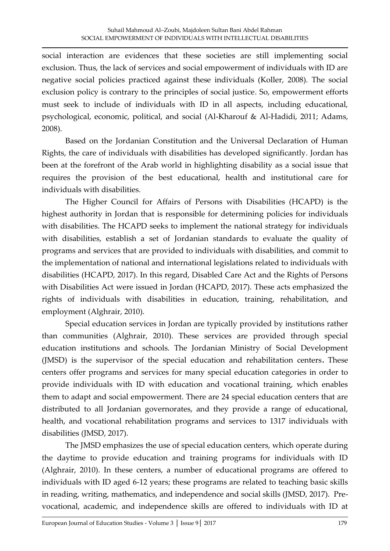social interaction are evidences that these societies are still implementing social exclusion. Thus, the lack of services and social empowerment of individuals with ID are negative social policies practiced against these individuals (Koller, 2008). The social exclusion policy is contrary to the principles of social justice. So, empowerment efforts must seek to include of individuals with ID in all aspects, including educational, psychological, economic, political, and social (Al-Kharouf & Al-Hadidi, 2011; Adams, 2008).

Based on the Jordanian Constitution and the Universal Declaration of Human Rights, the care of individuals with disabilities has developed significantly. Jordan has been at the forefront of the Arab world in highlighting disability as a social issue that requires the provision of the best educational, health and institutional care for individuals with disabilities.

The Higher Council for Affairs of Persons with Disabilities (HCAPD) is the highest authority in Jordan that is responsible for determining policies for individuals with disabilities. The HCAPD seeks to implement the national strategy for individuals with disabilities, establish a set of Jordanian standards to evaluate the quality of programs and services that are provided to individuals with disabilities, and commit to the implementation of national and international legislations related to individuals with disabilities (HCAPD, 2017). In this regard, Disabled Care Act and the Rights of Persons with Disabilities Act were issued in Jordan (HCAPD, 2017). These acts emphasized the rights of individuals with disabilities in education, training, rehabilitation, and employment (Alghrair, 2010).

Special education services in Jordan are typically provided by institutions rather than communities (Alghrair, 2010). These services are provided through special education institutions and schools. The Jordanian Ministry of Social Development (JMSD) is the supervisor of the special education and rehabilitation centers**.** These centers offer programs and services for many special education categories in order to provide individuals with ID with education and vocational training, which enables them to adapt and social empowerment. There are 24 special education centers that are distributed to all Jordanian governorates, and they provide a range of educational, health, and vocational rehabilitation programs and services to 1317 individuals with disabilities (JMSD, 2017).

The JMSD emphasizes the use of special education centers, which operate during the daytime to provide education and training programs for individuals with ID (Alghrair, 2010). In these centers, a number of educational programs are offered to individuals with ID aged 6-12 years; these programs are related to teaching basic skills in reading, writing, mathematics, and independence and social skills (JMSD, 2017). Prevocational, academic, and independence skills are offered to individuals with ID at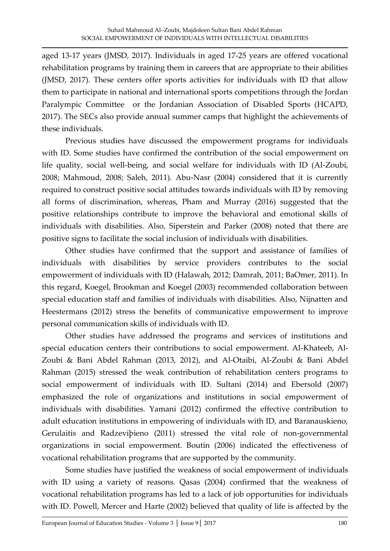aged 13-17 years (JMSD, 2017). Individuals in aged 17-25 years are offered vocational rehabilitation programs by training them in careers that are appropriate to their abilities (JMSD, 2017). These centers offer sports activities for individuals with ID that allow them to participate in national and international sports competitions through the Jordan Paralympic Committee or the Jordanian Association of Disabled Sports (HCAPD, 2017). The SECs also provide annual summer camps that highlight the achievements of these individuals.

Previous studies have discussed the empowerment programs for individuals with ID. Some studies have confirmed the contribution of the social empowerment on life quality, social well-being, and social welfare for individuals with ID (Al-Zoubi, 2008; Mahmoud, 2008; Saleh, 2011). Abu-Nasr (2004) considered that it is currently required to construct positive social attitudes towards individuals with ID by removing all forms of discrimination, whereas, Pham and Murray (2016) suggested that the positive relationships contribute to improve the behavioral and emotional skills of individuals with disabilities. [Also, Siperstein](http://www.tandfonline.com/author/Siperstein%2C+Gary+N) and [Parker](http://www.tandfonline.com/author/Parker%2C+Robin+C) (2008) noted that there are positive signs to facilitate the social inclusion of individuals with disabilities.

Other studies have confirmed that the support and assistance of families of individuals with disabilities by service providers contributes to the social empowerment of individuals with ID (Halawah, 2012; Damrah, 2011; BaOmer, 2011). In this regard, Koegel, Brookman and Koegel (2003) recommended collaboration between special education staff and families of individuals with disabilities. Also, Nijnatten and Heestermans (2012) stress the benefits of communicative empowerment to improve personal communication skills of individuals with ID.

Other studies have addressed the programs and services of institutions and special education centers their contributions to social empowerment. Al-Khateeb, Al-Zoubi & Bani Abdel Rahman (2013, 2012), and Al-Otaibi, Al-Zoubi & Bani Abdel Rahman (2015) stressed the weak contribution of rehabilitation centers programs to social empowerment of individuals with ID. Sultani (2014) and Ebersold (2007) emphasized the role of organizations and institutions in social empowerment of individuals with disabilities. Yamani (2012) confirmed the effective contribution to adult education institutions in empowering of individuals with ID, and Baranauskieno, Gerulaitis and Radzeviþieno (2011) stressed the vital role of non-governmental organizations in social empowerment. Boutin (2006) indicated the effectiveness of vocational rehabilitation programs that are supported by the community.

Some studies have justified the weakness of social empowerment of individuals with ID using a variety of reasons. Qasas (2004) confirmed that the weakness of vocational rehabilitation programs has led to a lack of job opportunities for individuals with ID. Powell, Mercer and Harte (2002) believed that quality of life is affected by the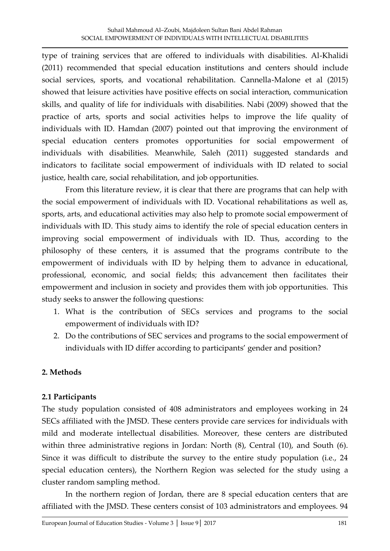type of training services that are offered to individuals with disabilities. Al-Khalidi (2011) recommended that special education institutions and centers should include social services, sports, and vocational rehabilitation. Cannella-Malone et al (2015) showed that leisure activities have positive effects on social interaction, communication skills, and quality of life for individuals with disabilities. Nabi (2009) showed that the practice of arts, sports and social activities helps to improve the life quality of individuals with ID. Hamdan (2007) pointed out that improving the environment of special education centers promotes opportunities for social empowerment of individuals with disabilities. Meanwhile, Saleh (2011) suggested standards and indicators to facilitate social empowerment of individuals with ID related to social justice, health care, social rehabilitation, and job opportunities.

From this literature review, it is clear that there are programs that can help with the social empowerment of individuals with ID. Vocational rehabilitations as well as, sports, arts, and educational activities may also help to promote social empowerment of individuals with ID. This study aims to identify the role of special education centers in improving social empowerment of individuals with ID. Thus, according to the philosophy of these centers, it is assumed that the programs contribute to the empowerment of individuals with ID by helping them to advance in educational, professional, economic, and social fields; this advancement then facilitates their empowerment and inclusion in society and provides them with job opportunities. This study seeks to answer the following questions:

- 1. What is the contribution of SECs services and programs to the social empowerment of individuals with ID?
- 2. Do the contributions of SEC services and programs to the social empowerment of individuals with ID differ according to participants' gender and position?

## **2. Methods**

## **2.1 Participants**

The study population consisted of 408 administrators and employees working in 24 SECs affiliated with the JMSD. These centers provide care services for individuals with mild and moderate intellectual disabilities. Moreover, these centers are distributed within three administrative regions in Jordan: North (8), Central (10), and South (6). Since it was difficult to distribute the survey to the entire study population (i.e., 24 special education centers), the Northern Region was selected for the study using a cluster random sampling method.

In the northern region of Jordan, there are 8 special education centers that are affiliated with the JMSD. These centers consist of 103 administrators and employees. 94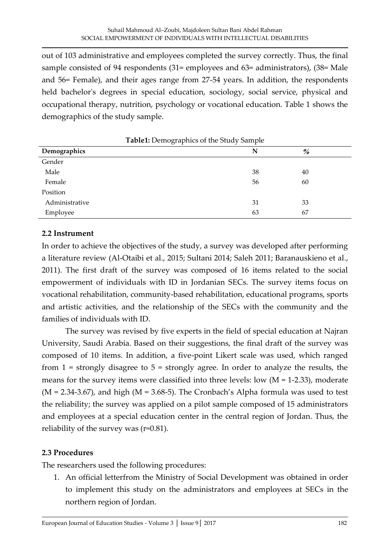out of 103 administrative and employees completed the survey correctly. Thus, the final sample consisted of 94 respondents (31= employees and 63= administrators), (38= Male and 56= Female), and their ages range from 27-54 years. In addition, the respondents held bachelor's degrees in special education, sociology, social service, physical and occupational therapy, nutrition, psychology or vocational education. Table 1 shows the demographics of the study sample.

|                | <b>Table1:</b> Demographics of the Study Sample |    |  |
|----------------|-------------------------------------------------|----|--|
| Demographics   | N                                               | %  |  |
| Gender         |                                                 |    |  |
| Male           | 38                                              | 40 |  |
| Female         | 56                                              | 60 |  |
| Position       |                                                 |    |  |
| Administrative | 31                                              | 33 |  |
| Employee       | 63                                              | 67 |  |

### **2.2 Instrument**

In order to achieve the objectives of the study, a survey was developed after performing a literature review (Al-Otaibi et al., 2015; Sultani 2014; Saleh 2011; Baranauskieno et al*.*, 2011). The first draft of the survey was composed of 16 items related to the social empowerment of individuals with ID in Jordanian SECs. The survey items focus on vocational rehabilitation, community-based rehabilitation, educational programs, sports and artistic activities, and the relationship of the SECs with the community and the families of individuals with ID.

The survey was revised by five experts in the field of special education at Najran University, Saudi Arabia. Based on their suggestions, the final draft of the survey was composed of 10 items. In addition, a five-point Likert scale was used, which ranged from  $1 =$  strongly disagree to  $5 =$  strongly agree. In order to analyze the results, the means for the survey items were classified into three levels: low  $(M = 1-2.33)$ , moderate  $(M = 2.34-3.67)$ , and high  $(M = 3.68-5)$ . The Cronbach's Alpha formula was used to test the reliability; the survey was applied on a pilot sample composed of 15 administrators and employees at a special education center in the central region of Jordan. Thus, the reliability of the survey was (r=0.81).

#### **2.3 Procedures**

The researchers used the following procedures:

1. An official letterfrom the Ministry of Social Development was obtained in order to implement this study on the administrators and employees at SECs in the northern region of Jordan.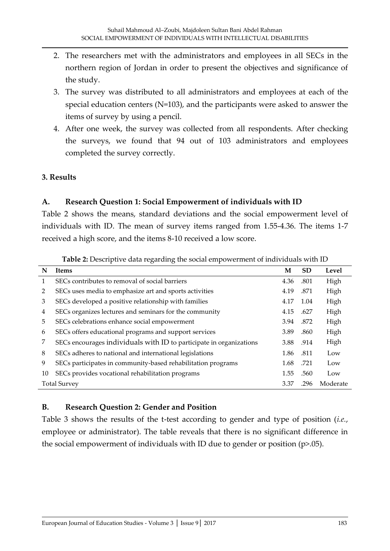- 2. The researchers met with the administrators and employees in all SECs in the northern region of Jordan in order to present the objectives and significance of the study.
- 3. The survey was distributed to all administrators and employees at each of the special education centers (N=103), and the participants were asked to answer the items of survey by using a pencil.
- 4. After one week, the survey was collected from all respondents. After checking the surveys, we found that 94 out of 103 administrators and employees completed the survey correctly.

#### **3. Results**

## **A. Research Question 1: Social Empowerment of individuals with ID**

Table 2 shows the means, standard deviations and the social empowerment level of individuals with ID. The mean of survey items ranged from 1.55-4.36. The items 1-7 received a high score, and the items 8-10 received a low score.

|    | <b>Tuble = Descriptive and regarding the social empowerment or individuals while h</b> |      |           |       |  |  |
|----|----------------------------------------------------------------------------------------|------|-----------|-------|--|--|
| N  | <b>Items</b>                                                                           | M    | <b>SD</b> | Level |  |  |
| 1  | SECs contributes to removal of social barriers                                         | 4.36 | .801      | High  |  |  |
| 2  | SECs uses media to emphasize art and sports activities                                 | 4.19 | .871      | High  |  |  |
| 3  | SECs developed a positive relationship with families                                   | 4.17 | 1.04      | High  |  |  |
| 4  | SECs organizes lectures and seminars for the community                                 | 4.15 | .627      | High  |  |  |
| 5  | SECs celebrations enhance social empowerment                                           | 3.94 | .872      | High  |  |  |
| 6  | SECs offers educational programs and support services                                  | 3.89 | .860      | High  |  |  |
| 7  | SECs encourages individuals with ID to participate in organizations                    | 3.88 | .914      | High  |  |  |
| 8  | SECs adheres to national and international legislations                                | 1.86 | .811      | Low   |  |  |
| 9  | SECs participates in community-based rehabilitation programs                           | 1.68 | .721      | Low   |  |  |
| 10 | SECs provides vocational rehabilitation programs                                       | 1.55 | .560      | Low   |  |  |
|    | <b>Total Survey</b><br>.296<br>Moderate<br>3.37                                        |      |           |       |  |  |

**Table 2:** Descriptive data regarding the social empowerment of individuals with ID

## **B. Research Question 2: Gender and Position**

Table 3 shows the results of the t-test according to gender and type of position (*i.e.*, employee or administrator). The table reveals that there is no significant difference in the social empowerment of individuals with ID due to gender or position (p>.05).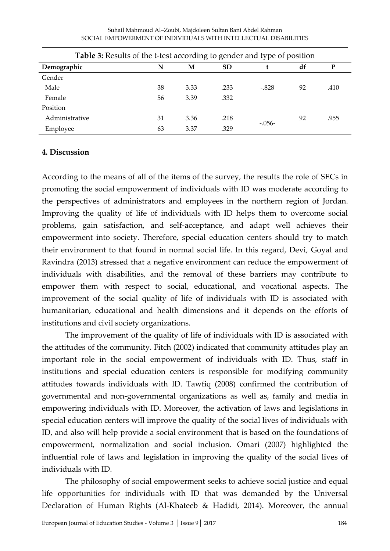| <b>Table 3:</b> Results of the t-test according to gender and type of position |    |      |           |          |    |      |  |  |  |
|--------------------------------------------------------------------------------|----|------|-----------|----------|----|------|--|--|--|
| Demographic                                                                    | N  | M    | <b>SD</b> |          | df | P    |  |  |  |
| Gender                                                                         |    |      |           |          |    |      |  |  |  |
| Male                                                                           | 38 | 3.33 | .233      | $-.828$  | 92 | .410 |  |  |  |
| Female                                                                         | 56 | 3.39 | .332      |          |    |      |  |  |  |
| Position                                                                       |    |      |           |          |    |      |  |  |  |
| Administrative                                                                 | 31 | 3.36 | .218      |          | 92 | .955 |  |  |  |
| Employee                                                                       | 63 | 3.37 | .329      | $-.056-$ |    |      |  |  |  |

Suhail Mahmoud Al–Zoubi, Majdoleen Sultan Bani Abdel Rahman SOCIAL EMPOWERMENT OF INDIVIDUALS WITH INTELLECTUAL DISABILITIES

#### **4. Discussion**

According to the means of all of the items of the survey, the results the role of SECs in promoting the social empowerment of individuals with ID was moderate according to the perspectives of administrators and employees in the northern region of Jordan. Improving the quality of life of individuals with ID helps them to overcome social problems, gain satisfaction, and self-acceptance, and adapt well achieves their empowerment into society. Therefore, special education centers should try to match their environment to that found in normal social life. In this regard, Devi*,* Goyal and Ravindra (2013) stressed that a negative environment can reduce the empowerment of individuals with disabilities, and the removal of these barriers may contribute to empower them with respect to social, educational, and vocational aspects. The improvement of the social quality of life of individuals with ID is associated with humanitarian, educational and health dimensions and it depends on the efforts of institutions and civil society organizations.

The improvement of the quality of life of individuals with ID is associated with the attitudes of the community. Fitch (2002) indicated that community attitudes play an important role in the social empowerment of individuals with ID. Thus, staff in institutions and special education centers is responsible for modifying community attitudes towards individuals with ID. Tawfiq (2008) confirmed the contribution of governmental and non-governmental organizations as well as, family and media in empowering individuals with ID. Moreover, the activation of laws and legislations in special education centers will improve the quality of the social lives of individuals with ID, and also will help provide a social environment that is based on the foundations of empowerment, normalization and social inclusion. Omari (2007) highlighted the influential role of laws and legislation in improving the quality of the social lives of individuals with ID.

The philosophy of social empowerment seeks to achieve social justice and equal life opportunities for individuals with ID that was demanded by the Universal Declaration of Human Rights (Al-Khateeb & Hadidi, 2014). Moreover, the annual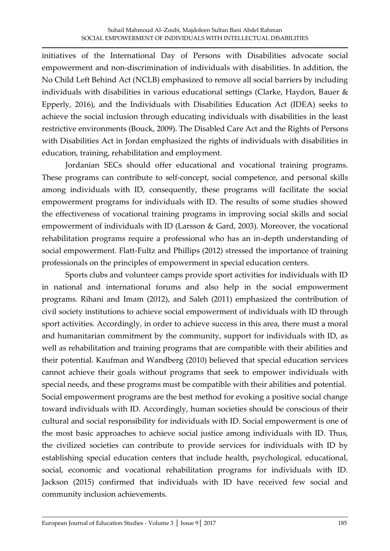initiatives of the International Day of Persons with Disabilities advocate social empowerment and non-discrimination of individuals with disabilities. In addition, the No Child Left Behind Act (NCLB) emphasized to remove all social barriers by including individuals with disabilities in various educational settings (Clarke, Haydon, Bauer & Epperly, 2016), and the Individuals with Disabilities Education Act (IDEA) seeks to achieve the social inclusion through educating individuals with disabilities in the least restrictive environments (Bouck, 2009). The Disabled Care Act and the Rights of Persons with Disabilities Act in Jordan emphasized the rights of individuals with disabilities in education, training, rehabilitation and employment.

Jordanian SECs should offer educational and vocational training programs. These programs can contribute to self-concept, social competence, and personal skills among individuals with ID, consequently, these programs will facilitate the social empowerment programs for individuals with ID. The results of some studies showed the effectiveness of vocational training programs in improving social skills and social empowerment of individuals with ID (Larsson & Gard, 2003). Moreover, the vocational rehabilitation programs require a professional who has an in-depth understanding of social empowerment. Flatt-Fultz and Phillips (2012) stressed the importance of training professionals on the principles of empowerment in special education centers.

Sports clubs and volunteer camps provide sport activities for individuals with ID in national and international forums and also help in the social empowerment programs. Rihani and Imam (2012), and Saleh (2011) emphasized the contribution of civil society institutions to achieve social empowerment of individuals with ID through sport activities. Accordingly, in order to achieve success in this area, there must a moral and humanitarian commitment by the community, support for individuals with ID, as well as rehabilitation and training programs that are compatible with their abilities and their potential. Kaufman and Wandberg (2010) believed that special education services cannot achieve their goals without programs that seek to empower individuals with special needs, and these programs must be compatible with their abilities and potential. Social empowerment programs are the best method for evoking a positive social change toward individuals with ID. Accordingly, human societies should be conscious of their cultural and social responsibility for individuals with ID. Social empowerment is one of the most basic approaches to achieve social justice among individuals with ID. Thus, the civilized societies can contribute to provide services for individuals with ID by establishing special education centers that include health, psychological, educational, social, economic and vocational rehabilitation programs for individuals with ID. Jackson (2015) confirmed that individuals with ID have received few social and community inclusion achievements.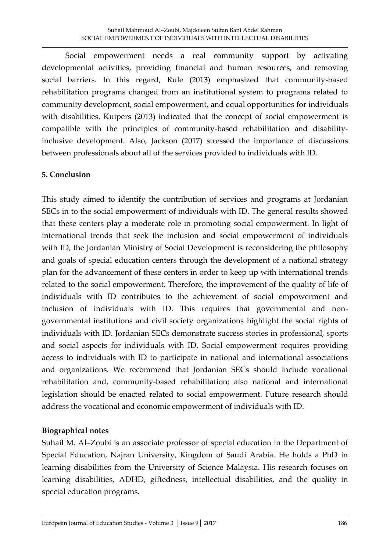Social empowerment needs a real community support by activating developmental activities, providing financial and human resources, and removing social barriers. In this regard, Rule (2013) emphasized that community-based rehabilitation programs changed from an institutional system to programs related to community development, social empowerment, and equal opportunities for individuals with disabilities. Kuipers (2013) indicated that the concept of social empowerment is compatible with the principles of community-based rehabilitation and disabilityinclusive development. Also, Jackson (2017) stressed the importance of discussions between professionals about all of the services provided to individuals with ID.

### **5. Conclusion**

This study aimed to identify the contribution of services and programs at Jordanian SECs in to the social empowerment of individuals with ID. The general results showed that these centers play a moderate role in promoting social empowerment. In light of international trends that seek the inclusion and social empowerment of individuals with ID, the Jordanian Ministry of Social Development is reconsidering the philosophy and goals of special education centers through the development of a national strategy plan for the advancement of these centers in order to keep up with international trends related to the social empowerment. Therefore, the improvement of the quality of life of individuals with ID contributes to the achievement of social empowerment and inclusion of individuals with ID. This requires that governmental and nongovernmental institutions and civil society organizations highlight the social rights of individuals with ID. Jordanian SECs demonstrate success stories in professional, sports and social aspects for individuals with ID. Social empowerment requires providing access to individuals with ID to participate in national and international associations and organizations. We recommend that Jordanian SECs should include vocational rehabilitation and, community-based rehabilitation; also national and international legislation should be enacted related to social empowerment. Future research should address the vocational and economic empowerment of individuals with ID.

#### **Biographical notes**

Suhail M. Al–Zoubi is an associate professor of special education in the Department of Special Education, Najran University, Kingdom of Saudi Arabia. He holds a PhD in learning disabilities from the University of Science Malaysia. His research focuses on learning disabilities, ADHD, giftedness, intellectual disabilities, and the quality in special education programs.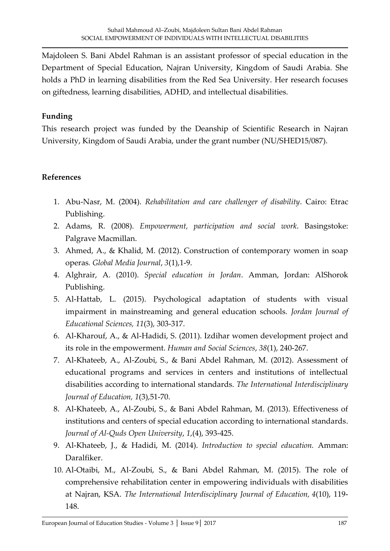Majdoleen S. Bani Abdel Rahman is an assistant professor of special education in the Department of Special Education, Najran University, Kingdom of Saudi Arabia. She holds a PhD in learning disabilities from the Red Sea University. Her research focuses on giftedness, learning disabilities, ADHD, and intellectual disabilities.

## **Funding**

This research project was funded by the Deanship of Scientific Research in Najran University, Kingdom of Saudi Arabia, under the grant number (NU/SHED15/087).

## **References**

- 1. Abu-Nasr, M. (2004). *Rehabilitation and care challenger of disability*. Cairo: Etrac Publishing.
- 2. Adams, R. (2008). *Empowerment, participation and social work*. Basingstoke: Palgrave Macmillan.
- 3. Ahmed, A., & Khalid, M. (2012). Construction of contemporary women in soap operas*. Global Media Journal*, *3*(1),1-9.
- 4. Alghrair, A. (2010). *Special education in Jordan*. Amman, Jordan: AlShorok Publishing.
- 5. Al-Hattab, L. (2015). Psychological adaptation of students with visual impairment in mainstreaming and general education schools. *Jordan Journal of Educational Sciences, 11*(3), 303-317.
- 6. Al-Kharouf, A., & Al-Hadidi, S. (2011). Izdihar women development project and its role in the empowerment. *Human and Social Sciences*, *38*(1), 240-267.
- 7. Al-Khateeb, A., Al-Zoubi, S., & Bani Abdel Rahman, M. (2012). Assessment of educational programs and services in centers and institutions of intellectual disabilities according to international standards. *The International Interdisciplinary Journal of Education, 1*(3),51-70.
- 8. Al-Khateeb, A., Al-Zoubi, S., & Bani Abdel Rahman, M. (2013). Effectiveness of institutions and centers of special education according to international standards. *Journal of Al-Quds Open University*, *1*,(4), 393-425.
- 9. Al-Khateeb, J., & Hadidi, M. (2014). *Introduction to special education.* Amman: Daralfiker.
- 10. Al-Otaibi, M., Al-Zoubi, S., & Bani Abdel Rahman, M. (2015). The role of comprehensive rehabilitation center in empowering individuals with disabilities at Najran, KSA. *The International Interdisciplinary Journal of Education, 4*(10), 119- 148.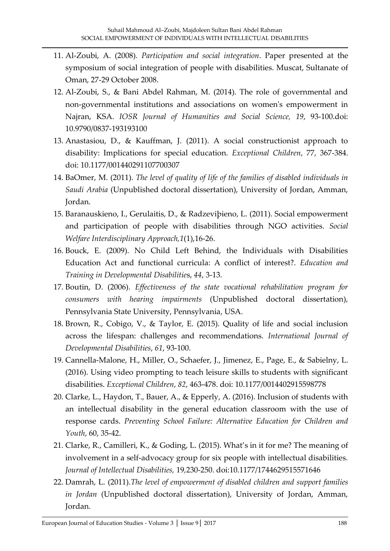- 11. Al-Zoubi, A. (2008). *Participation and social integration*. Paper presented at the symposium of social integration of people with disabilities. Muscat, Sultanate of Oman, 27-29 October 2008.
- 12. Al-Zoubi, S., & Bani Abdel Rahman, M. (2014). The role of governmental and non-governmental institutions and associations on women's empowerment in Najran, KSA. *IOSR Journal of Humanities and Social Science, 19*, 93-100.doi: 10.9790/0837-193193100
- 13. Anastasiou, D., & Kauffman, J. (2011). A social constructionist approach to disability: Implications for special education. *Exceptional Children*, 77, 367-384. doi: 10.1177/001440291107700307
- 14. BaOmer, M. (2011). *The level of quality of life of the families of disabled individuals in Saudi Arabia* (Unpublished doctoral dissertation), University of Jordan, Amman, Jordan.
- 15. Baranauskieno, I., Gerulaitis, D., & Radzeviþieno, L. (2011). Social empowerment and participation of people with disabilities through NGO activities. *Social Welfare Interdisciplinary Approach,1*(1),16-26.
- 16. Bouck, E. (2009). No Child Left Behind, the Individuals with Disabilities Education Act and functional curricula: A conflict of interest?. *Education and Training in Developmental Disabilitie*s, *44*, 3-13.
- 17. Boutin, D. (2006). *Effectiveness of the state vocational rehabilitation program for consumers with hearing impairments* (Unpublished doctoral dissertation), Pennsylvania State University, Pennsylvania, USA.
- 18. Brown, R., Cobigo, V., & Taylor, E. (2015). Quality of life and social inclusion across the lifespan: challenges and recommendations. *International Journal of Developmental Disabilities*, *61*, 93-100.
- 19. Cannella-Malone, H., Miller, O., Schaefer, J., Jimenez, E., Page, E., & Sabielny, L. (2016). Using video prompting to teach leisure skills to students with significant disabilities. *Exceptional Children*, *82*, 463-478. doi: 10.1177/0014402915598778
- 20. Clarke, L., Haydon, T., Bauer, A., & Epperly, A. (2016). Inclusion of students with an intellectual disability in the general education classroom with the use of response cards. *Preventing School Failure: Alternative Education for Children and Youth*, 60, 35-42.
- 21. Clarke, R., Camilleri, K., & Goding, L. (2015). What's in it for me? The meaning of involvement in a self-advocacy group for six people with intellectual disabilities. *Journal of Intellectual Disabilities,* 19*,*230-250. doi:10.1177/1744629515571646
- 22. Damrah, L. (2011).*The level of empowerment of disabled children and support families in Jordan* (Unpublished doctoral dissertation), University of Jordan, Amman, Jordan.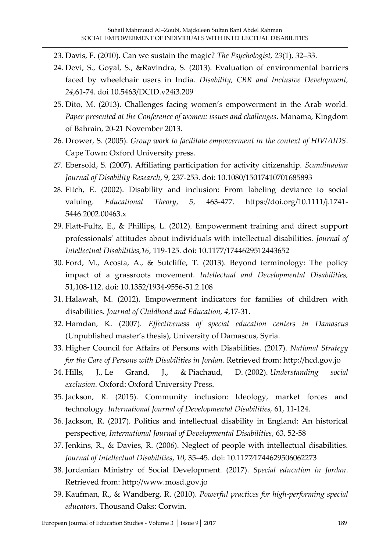- 23. Davis, F. (2010). Can we sustain the magic? *The Psychologist, 23*(1), 32–33.
- 24. Devi, S., Goyal, S., &Ravindra, S. (2013). Evaluation of environmental barriers faced by wheelchair users in India. *Disability, CBR and Inclusive Development, 24*,61-74. doi 10.5463/DCID.v24i3.209
- 25. Dito, M. (2013). Challenges facing women's empowerment in the Arab world*. Paper presented at the Conference of women: issues and challenges*. Manama, Kingdom of Bahrain, 20-21 November 2013.
- 26. Drower, S. (2005). *Group work to facilitate empowerment in the context of HIV/AIDS*. Cape Town: Oxford University press.
- 27. Ebersold, S. (2007). Affiliating participation for activity citizenship. *Scandinavian Journal of Disability Research*, 9, 237-253. doi: 10.1080/15017410701685893
- 28. Fitch, E. (2002). Disability and inclusion: From labeling deviance to social valuing. *Educational Theory*, *5*, 463-477. https://doi.org/10.1111/j.1741- 5446.2002.00463.x
- 29. Flatt-Fultz, E., & Phillips, L. (2012). Empowerment training and direct support professionals' attitudes about individuals with intellectual disabilities. *Journal of Intellectual Disabilities,16*, 119-125. doi: 10.1177/1744629512443652
- 30. Ford, M., Acosta, A., & Sutcliffe, T. (2013). Beyond terminology: The policy impact of a grassroots movement. *Intellectual and Developmental Disabilities,* 51,108-112. doi: 10.1352/1934-9556-51.2.108
- 31. Halawah, M. (2012). Empowerment indicators for families of children with disabilities. *Journal of Childhood and Education, 4*,17-31.
- 32. Hamdan, K. (2007). *Effectiveness of special education centers in Damascus* (Unpublished master's thesis), University of Damascus, Syria.
- 33. Higher Council for Affairs of Persons with Disabilities. (2017). *National Strategy for the Care of Persons with Disabilities in Jordan*. Retrieved from: [http://hcd.gov.jo](http://hcd.gov.jo/)
- 34. Hills, J., Le Grand, J., & Piachaud, D. (2002). *[Understanding social](http://eprints.lse.ac.uk/51311/)  [exclusion.](http://eprints.lse.ac.uk/51311/)* Oxford: Oxford University Press.
- 35. Jackson, R. (2015). Community inclusion: Ideology, market forces and technology. *International Journal of Developmental Disabilities,* 61, 11-124.
- 36. Jackson, R. (2017). Politics and intellectual disability in England: An historical perspective, *International Journal of Developmental Disabilities*, 63, 52-58
- 37. Jenkins, R., & Davies, R. (2006). Neglect of people with intellectual disabilities. *Journal of Intellectual Disabilities*, *10*, 35‒45. doi: 10.1177⁄1744629506062273
- 38. Jordanian Ministry of Social Development. (2017). *Special education in Jordan*. Retrieved from: [http://www.mosd.gov.jo](http://www.mosd.gov.jo/)
- 39. Kaufman, R., & Wandberg, R. (2010). *Powerful practices for high-performing special educators.* Thousand Oaks: Corwin.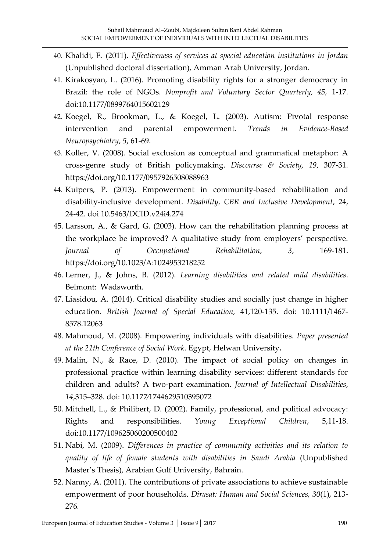- 40. Khalidi, E. (2011). *Effectiveness of services at special education institutions in Jordan* (Unpublished doctoral dissertation), Amman Arab University, Jordan.
- 41. Kirakosyan, L. (2016). Promoting disability rights for a stronger democracy in Brazil: the role of NGOs. *Nonprofit and Voluntary Sector Quarterly, 45,* 1-17. doi:10.1177/0899764015602129
- 42. Koegel, R., Brookman, L., & Koegel, L. (2003). Autism: Pivotal response intervention and parental empowerment. *Trends in Evidence-Based Neuropsychiatry*, *5*, 61-69.
- 43. Koller, V. (2008). Social exclusion as conceptual and grammatical metaphor: A cross-genre study of British policymaking. *Discourse & Society, 19*, 307-31. https://doi.org/10.1177/0957926508088963
- 44. Kuipers, P. (2013). Empowerment in community-based rehabilitation and disability-inclusive development. *Disability, CBR and Inclusive Development*, 24, 24-42. doi 10.5463/DCID.v24i4.274
- 45. Larsson, A., & Gard, G. (2003). How can the rehabilitation planning process at the workplace be improved? A qualitative study from employers' perspective. *Journal of Occupational Rehabilitation*, *3*, 169-181. <https://doi.org/10.1023/A:1024953218252>
- 46. Lerner, J., & Johns, B. (2012). *Learning disabilities and related mild disabilities*. Belmont: Wadsworth.
- 47. Liasidou, A. (2014). Critical disability studies and socially just change in higher education. *British Journal of Special Education,* 41,120-135. doi: 10.1111/1467- 8578.12063
- 48. Mahmoud, M. (2008). Empowering individuals with disabilities. *Paper presented at the 21th Conference of Social Work*. Egypt, Helwan University**.**
- 49. Malin, N., & Race, D. (2010). The impact of social policy on changes in professional practice within learning disability services: different standards for children and adults? A two-part examination. *Journal of Intellectual Disabilities*, *14*,315‒328. doi: 10.1177⁄1744629510395072
- 50. Mitchell, L., & Philibert, D. (2002). Family, professional, and political advocacy: Rights and responsibilities. *Young Exceptional Children*, 5,11-18. doi:10.1177/109625060200500402
- 51. Nabi, M. (2009). *Differences in practice of community activities and its relation to quality of life of female students with disabilities in Saudi Arabia* (Unpublished Master's Thesis), Arabian Gulf University, Bahrain.
- 52. Nanny, A. (2011). The contributions of private associations to achieve sustainable empowerment of poor households. *Dirasat: Human and Social Sciences, 30*(1), 213- 276*.*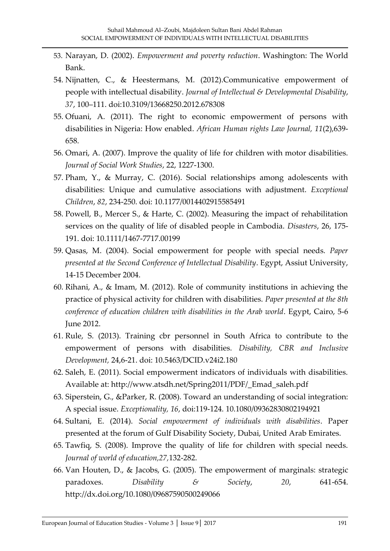- 53. Narayan, D. (2002). *Empowerment and poverty reduction*. Washington: The World Bank.
- 54. Nijnatten, C., & Heestermans, M. (2012).Communicative empowerment of people with intellectual disability. *Journal of Intellectual & Developmental Disability*, *37*, 100–111. doi:10.3109/13668250.2012.678308
- 55. Ofuani, A. (2011). The right to economic empowerment of persons with disabilities in Nigeria: How enabled. *African Human rights Law Journal, 11*(2),639- 658.
- 56. Omari, A. (2007). Improve the quality of life for children with motor disabilities. *Journal of Social Work Studies*, 22, 1227-1300.
- 57. Pham, Y., & Murray, C. (2016). Social relationships among adolescents with disabilities: Unique and cumulative associations with adjustment. *Exceptional Children*, *82*, 234-250. doi: 10.1177/0014402915585491
- 58. Powell, B., Mercer S., & Harte, C. (2002). Measuring the impact of rehabilitation services on the quality of life of disabled people in Cambodia. *Disasters*, 26, 175- 191. doi: 10.1111/1467-7717.00199
- 59. Qasas, M. (2004). Social empowerment for people with special needs. *Paper presented at the Second Conference of Intellectual Disability*. Egypt, Assiut University, 14-15 December 2004.
- 60. Rihani, A., & Imam, M. (2012). Role of community institutions in achieving the practice of physical activity for children with disabilities. *Paper presented at the 8th conference of education children with disabilities in the Arab world*. Egypt, Cairo, 5-6 June 2012.
- 61. Rule, S. (2013). Training cbr personnel in South Africa to contribute to the empowerment of persons with disabilities. *Disability, CBR and Inclusive Development,* 24,6-21. doi: 10.5463/DCID.v24i2.180
- 62. Saleh, E. (2011). Social empowerment indicators of individuals with disabilities. Available at: http://www.atsdh.net/Spring2011/PDF/\_Emad\_saleh.pdf
- 63. [Siperstein,](http://www.tandfonline.com/author/Siperstein%2C+Gary+N) G., [&Parker,](http://www.tandfonline.com/author/Parker%2C+Robin+C) R. (2008). Toward an understanding of social integration: A special issue. *Exceptionality, 16*, doi:119-124. 10.1080/09362830802194921
- 64. Sultani, E. (2014). *Social empowerment of individuals with disabilities*. Paper presented at the forum of Gulf Disability Society, Dubai, United Arab Emirates.
- 65. Tawfiq, S. (2008). Improve the quality of life for children with special needs. *Journal of world of education,27,*132-282.
- 66. Van Houten, D., & Jacobs, G. (2005). The empowerment of marginals: strategic paradoxes. *Disability & Society*, *20*, 641-654. http://dx.doi.org/10.1080/09687590500249066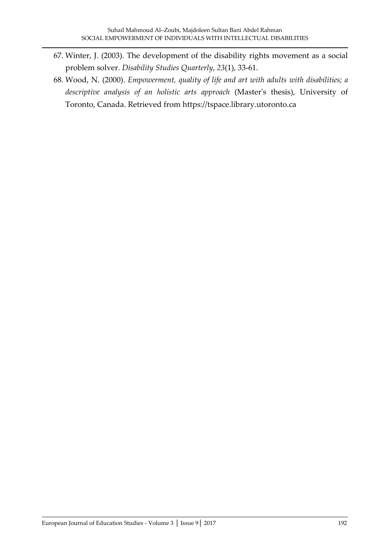- 67. Winter, J. (2003). The development of the disability rights movement as a social problem solver. *Disability Studies Quarterly*, *23*(1), 33-61.
- 68. Wood, N. (2000). *Empowerment, quality of life and art with adults with disabilities; a descriptive analysis of an holistic arts approach* (Master's thesis), University of Toronto, Canada. Retrieved from [https://tspace.library.utoronto.ca](https://tspace.library.utoronto.ca/)